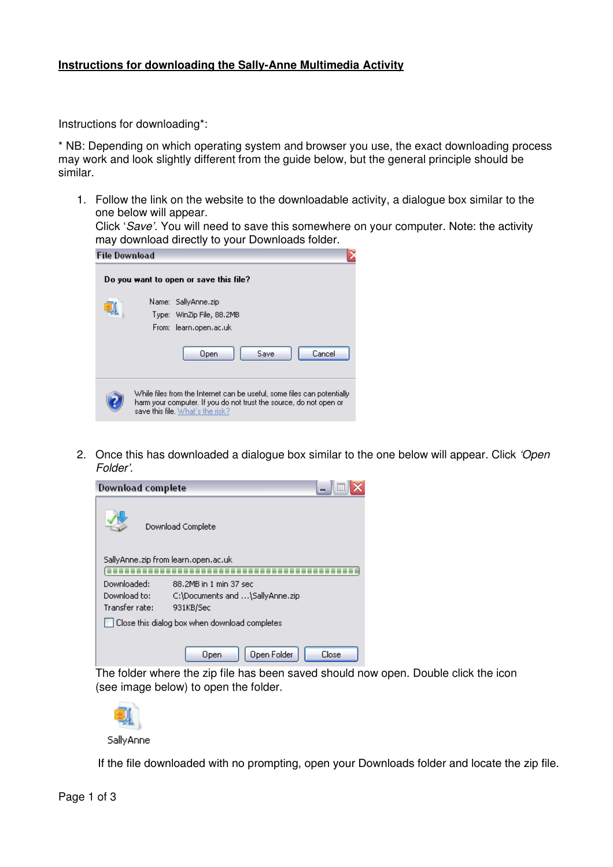## **Instructions for downloading the Sally-Anne Multimedia Activity**

Instructions for downloading\*:

\* NB: Depending on which operating system and browser you use, the exact downloading process may work and look slightly different from the guide below, but the general principle should be similar.

1. Follow the link on the website to the downloadable activity, a dialogue box similar to the one below will appear.

Click 'Save'. You will need to save this somewhere on your computer. Note: the activity may download directly to your Downloads folder.

| <b>File Download</b> |                                                                                                                                                                                   |  |
|----------------------|-----------------------------------------------------------------------------------------------------------------------------------------------------------------------------------|--|
|                      | Do you want to open or save this file?                                                                                                                                            |  |
|                      | Name: SallyAnne.zip<br>Type: WinZip File, 88.2MB<br>From: learn.open.ac.uk                                                                                                        |  |
|                      | Cancel<br>Save<br>Open                                                                                                                                                            |  |
|                      | While files from the Internet can be useful, some files can potentially<br>harm your computer. If you do not trust the source, do not open or<br>save this file. What's the risk? |  |

2. Once this has downloaded a dialogue box similar to the one below will appear. Click 'Open Folder'.

| <b>Download complete</b>                      | e.                                  |  |  |  |  |  |
|-----------------------------------------------|-------------------------------------|--|--|--|--|--|
|                                               | Download Complete                   |  |  |  |  |  |
|                                               | SallyAnne.zip from learn.open.ac.uk |  |  |  |  |  |
|                                               |                                     |  |  |  |  |  |
| Downloaded:                                   | 88.2MB in 1 min 37 sec              |  |  |  |  |  |
| Download to:                                  | C:\Documents and \SallyAnne.zip     |  |  |  |  |  |
| Transfer rate:                                | 931KB/Sec                           |  |  |  |  |  |
| Close this dialog box when download completes |                                     |  |  |  |  |  |
|                                               | Open Folder<br>Close<br>Open        |  |  |  |  |  |

The folder where the zip file has been saved should now open. Double click the icon (see image below) to open the folder.



If the file downloaded with no prompting, open your Downloads folder and locate the zip file.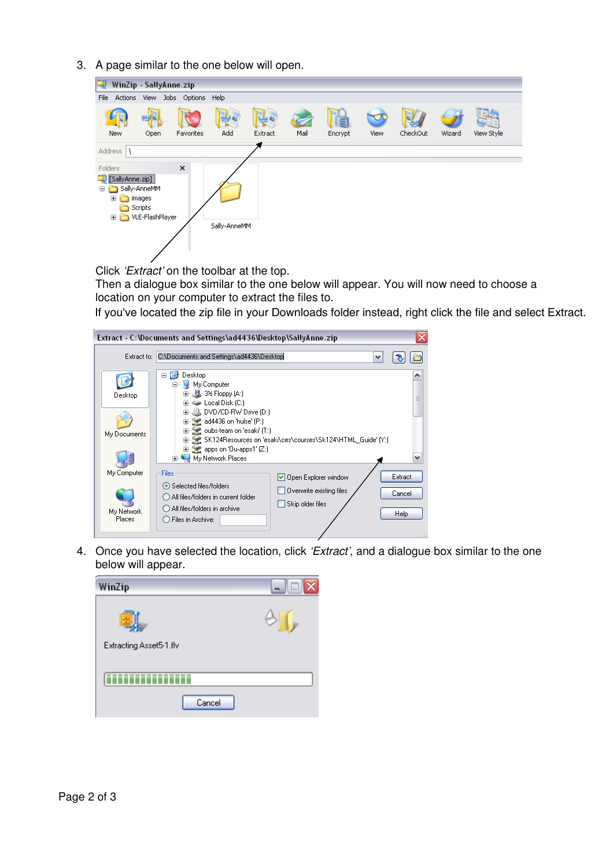3. A page similar to the one below will open.

| 曳                                                              | WinZip - SallyAnne.zip                               |                                |              |         |      |         |      |          |        |            |
|----------------------------------------------------------------|------------------------------------------------------|--------------------------------|--------------|---------|------|---------|------|----------|--------|------------|
| File                                                           |                                                      | Actions View Jobs Options Help |              |         |      |         |      |          |        |            |
| New                                                            | Open                                                 | Favorites                      | Add          | Extract | Mail | Encrypt | View | CheckOut | Wizard | View Style |
| Address $\lambda$                                              |                                                      |                                |              |         |      |         |      |          |        |            |
| Folders<br><br>[SallyAnne.zip]<br>Θ<br>$\mathbf{H}$<br>n.<br>⊕ | Sally-AnneMM<br>images<br>Scripts<br>VLE-FlashPlayer | $\times$                       | Sally-AnneMM |         |      |         |      |          |        |            |

Click 'Extract' on the toolbar at the top.

Then a dialogue box similar to the one below will appear. You will now need to choose a location on your computer to extract the files to.

If you've located the zip file in your Downloads folder instead, right click the file and select Extract.

|                                     | Extract - C:\Documents and Settings\ad4436\Desktop\SallyAnne.zip                                                                                                                                             |                                                                      | x                                |
|-------------------------------------|--------------------------------------------------------------------------------------------------------------------------------------------------------------------------------------------------------------|----------------------------------------------------------------------|----------------------------------|
| Extract to:                         | C:\Documents and Settings\ad4436\Desktop                                                                                                                                                                     | v                                                                    |                                  |
| Desktop<br>My Documents             | Desktop<br>ß<br>Θ<br>My Computer<br>■ 3½ Floppy (A:)<br>Local Disk (C:)<br>DVD/CD-RW Drive (D:)<br>ad4436 on 'hulse' (P:)<br>oubs-team on 'esaki' [T:]<br>apps on 'Ou-apps1' (Z:)<br>My Network Places<br>田山 | SK124Resources on 'esaki\ces\courses\Sk124\HTML_Guide' [Y:]          | 를                                |
| My Computer<br>My Network<br>Places | Files<br>Selected files/folders<br>All files/folders in current folder<br>All files/folders in archive<br>Files in Archive:                                                                                  | Open Explorer window<br>Overwrite existing files<br>Skip older files | Extract<br>Cancel<br><b>Help</b> |

4. Once you have selected the location, click 'Extract', and a dialogue box similar to the one below will appear.

| WinZip                  | i. |
|-------------------------|----|
|                         |    |
| Extracting Asset5-1.flv |    |
|                         |    |
| Cancel                  |    |